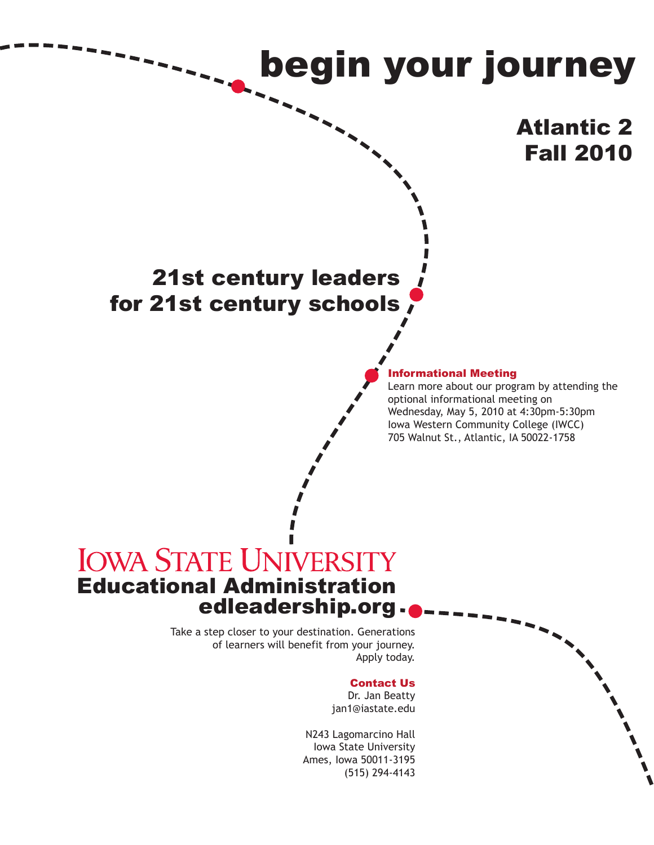

#### Contact Us

Dr. Jan Beatty jan1@iastate.edu

N243 Lagomarcino Hall Iowa State University Ames, Iowa 50011-3195 (515) 294-4143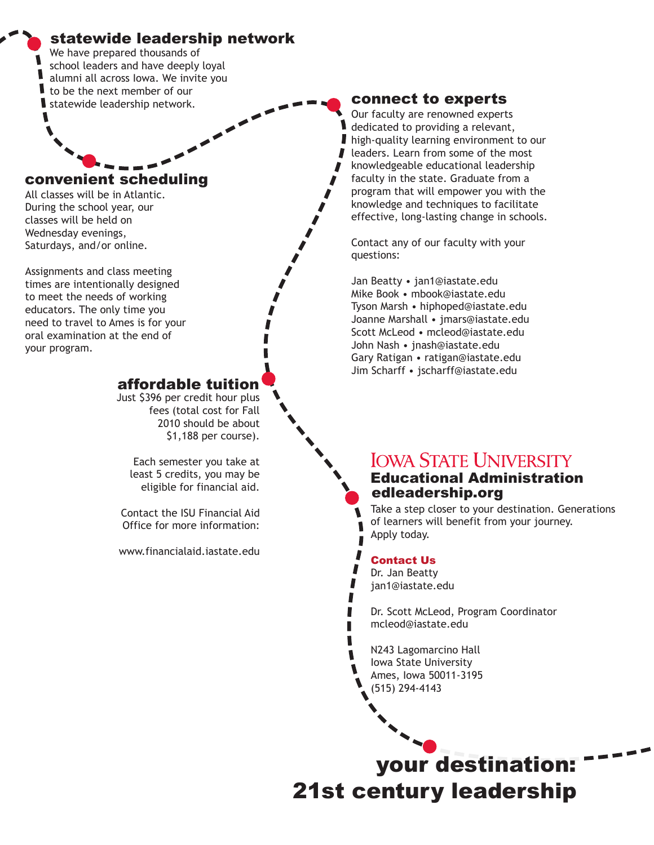# statewide leadership network

We have prepared thousands of school leaders and have deeply loyal alumni all across Iowa. We invite you to be the next member of our statewide leadership network.

#### convenient scheduling

All classes will be in Atlantic. During the school year, our classes will be held on Wednesday evenings, Saturdays, and/or online.

Assignments and class meeting times are intentionally designed to meet the needs of working educators. The only time you need to travel to Ames is for your oral examination at the end of your program.

# affordable tuition

Just \$396 per credit hour plus fees (total cost for Fall 2010 should be about \$1,188 per course).

Each semester you take at least 5 credits, you may be eligible for financial aid.

Contact the ISU Financial Aid Office for more information:

www.financialaid.iastate.edu

### connect to experts

Our faculty are renowned experts dedicated to providing a relevant, high-quality learning environment to our leaders. Learn from some of the most knowledgeable educational leadership faculty in the state. Graduate from a program that will empower you with the knowledge and techniques to facilitate effective, long-lasting change in schools.

Contact any of our faculty with your questions:

Jan Beatty • jan1@iastate.edu Mike Book • mbook@iastate.edu Tyson Marsh • hiphoped@iastate.edu Joanne Marshall • jmars@iastate.edu Scott McLeod • mcleod@iastate.edu John Nash • jnash@iastate.edu Gary Ratigan • ratigan@iastate.edu Jim Scharff • jscharff@iastate.edu

# **IOWA STATE UNIVERSITY** Educational Administration edleadership.org

Take a step closer to your destination. Generations of learners will benefit from your journey. Apply today.

#### Contact Us

Dr. Jan Beatty jan1@iastate.edu

Dr. Scott McLeod, Program Coordinator mcleod@iastate.edu

N243 Lagomarcino Hall Iowa State University Ames, Iowa 50011-3195 (515) 294-4143

your destination: 21st century leadership